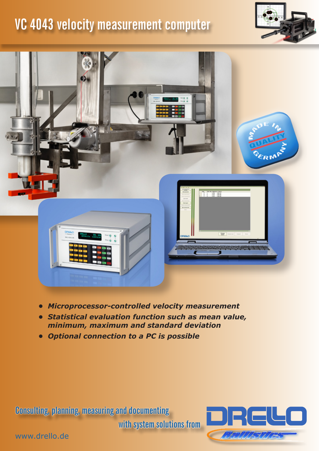## **VC 4043 velocity measurement computer**





- *• Microprocessor-controlled velocity measurement*
- *• Statistical evaluation function such as mean value, minimum, maximum and standard deviation*
- *• Optional connection to a PC is possible*

**Consulting, planning, measuring and documenting** 

**with system solutions from**